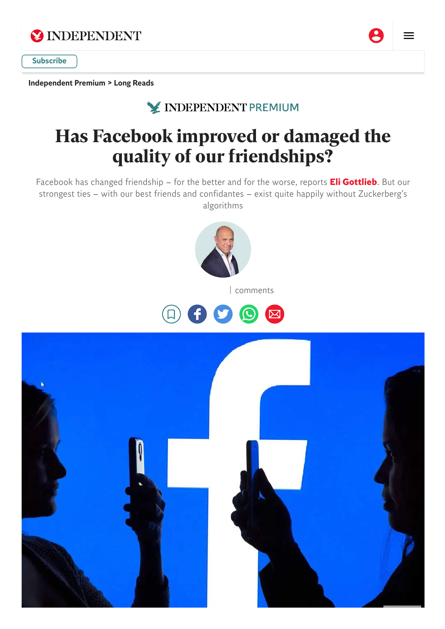

[Independent](https://www.independent.co.uk/independentpremium) Premium > Long [Reads](https://www.independent.co.uk/independentpremium/long-reads)

**X INDEPENDENT PREMIUM** 

# **Has Facebook improved or damaged the quality of our friendships?**

Facebook has changed friendship – for the better and for the worse, reports **Eli [Gottlieb](https://www.independent.co.uk/author/eli-gottlieb)**. But our strongest ties – with our best friends and confidantes – exist quite happily without Zuckerberg's algorithms





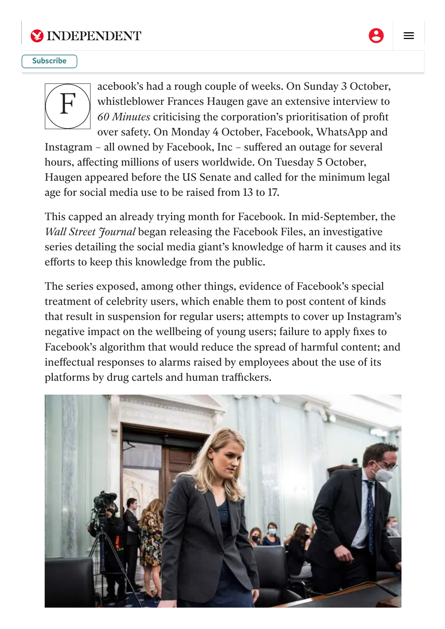

### **EX INDEPENDENT**



#### [Facebook:](https://www.independent.co.uk/) causing more harm than good? [Subscribe](https://www.independent.co.uk/subscribe?itm_channel=native&itm_campaign=top_right_subscribe)



acebook's had a rough couple of weeks. On Sunday 3 October, whistleblower Frances Haugen gave an extensive interview to *60 Minutes* criticising the corporation's prioritisation of profit over safety. On Monday 4 October, Facebook, WhatsApp and

Instagram – all owned by Facebook, Inc – suffered an outage for several hours, affecting millions of users worldwide. On Tuesday 5 October, Haugen appeared before the US Senate and called for the minimum legal age for social media use to be raised from 13 to 17.

This capped an already trying month for Facebook. In mid-September, the *Wall Street 'Hournal* began releasing the Facebook Files, an investigative series detailing the social media giant's knowledge of harm it causes and its efforts to keep this knowledge from the public.

The series exposed, among other things, evidence of Facebook's special treatment of celebrity users, which enable them to post content of kinds that result in suspension for regular users; attempts to cover up Instagram's negative impact on the wellbeing of young users; failure to apply fixes to Facebook's algorithm that would reduce the spread of harmful content; and ineffectual responses to alarms raised by employees about the use of its platforms by drug cartels and human traffickers.

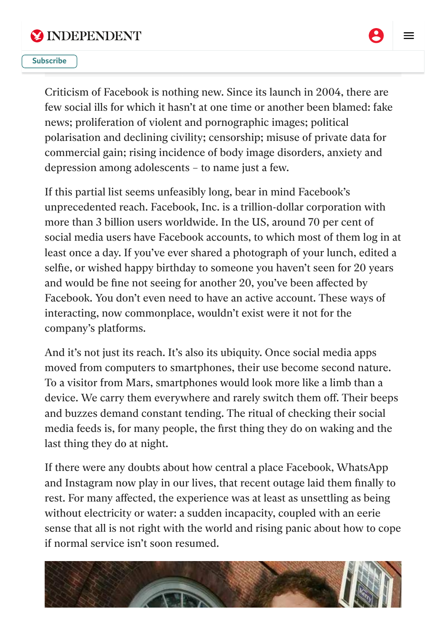

**EX INDEPENDENT** 



#### $\overline{\text{tr}}$ (AP) **[Subscribe](https://www.independent.co.uk/subscribe?itm_channel=native&itm_campaign=top_right_subscribe)**

Criticism of Facebook is nothing new. Since its launch in 2004, there are few social ills for which it hasn't at one time or another been blamed: fake news; proliferation of violent and pornographic images; political polarisation and declining civility; censorship; misuse of private data for commercial gain; rising incidence of body image disorders, anxiety and depression among adolescents – to name just a few.

If this partial list seems unfeasibly long, bear in mind Facebook's unprecedented reach. Facebook, Inc. is a trillion-dollar corporation with more than 3 billion users worldwide. In the US, around 70 per cent of social media users have Facebook accounts, to which most of them log in at least once a day. If you've ever shared a photograph of your lunch, edited a selfie, or wished happy birthday to someone you haven't seen for 20 years and would be fine not seeing for another 20, you've been affected by Facebook. You don't even need to have an active account. These ways of interacting, now commonplace, wouldn't exist were it not for the company's platforms.

And it's not just its reach. It's also its ubiquity. Once social media apps moved from computers to smartphones, their use become second nature. To a visitor from Mars, smartphones would look more like a limb than a device. We carry them everywhere and rarely switch them off. Their beeps and buzzes demand constant tending. The ritual of checking their social media feeds is, for many people, the first thing they do on waking and the last thing they do at night.

If there were any doubts about how central a place Facebook, WhatsApp and Instagram now play in our lives, that recent outage laid them finally to rest. For many affected, the experience was at least as unsettling as being without electricity or water: a sudden incapacity, coupled with an eerie sense that all is not right with the world and rising panic about how to cope if normal service isn't soon resumed.

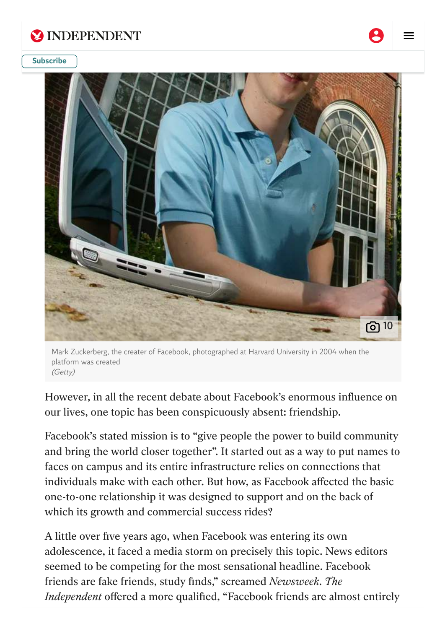



Mark Zuckerberg, the creater of Facebook, photographed at Harvard University in 2004 when the platform was created (Getty)

However, in all the recent debate about Facebook's enormous influence on our lives, one topic has been conspicuously absent: friendship.

Facebook's stated mission is to "give people the power to build community and bring the world closer together". It started out as a way to put names to faces on campus and its entire infrastructure relies on connections that individuals make with each other. But how, as Facebook affected the basic one-to-one relationship it was designed to support and on the back of which its growth and commercial success rides?

A little over five years ago, when Facebook was entering its own adolescence, it faced a media storm on precisely this topic. News editors seemed to be competing for the most sensational headline. Facebook friends are fake friends, study finds," screamed *Newsweek*. *The Independent* offered a more qualified, "Facebook friends are almost entirely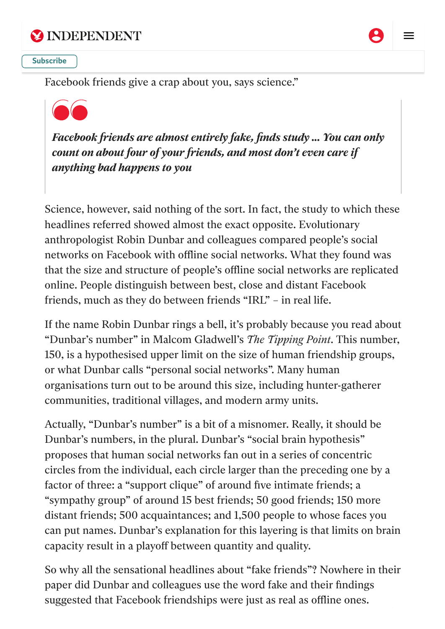



about four friends, and most don't even care if any the set of  $\alpha$  and  $\alpha$  and  $\alpha$  $\frac{1}{\sqrt{2}}$  measure  $\frac{1}{\sqrt{2}}$  measure  $\frac{1}{\sqrt{2}}$  for  $\frac{1}{\sqrt{2}}$  for  $\frac{1}{\sqrt{2}}$  for  $\frac{1}{\sqrt{2}}$  for  $\frac{1}{\sqrt{2}}$  for  $\frac{1}{\sqrt{2}}$  for  $\frac{1}{\sqrt{2}}$  for  $\frac{1}{\sqrt{2}}$  for  $\frac{1}{\sqrt{2}}$  for  $\frac{1}{\sqrt{2}}$  for  $\frac{1}{\sqrt{$ **[Subscribe](https://www.independent.co.uk/subscribe?itm_channel=native&itm_campaign=top_right_subscribe)** 

Facebook friends give a crap about you, says science."



*Facebook friends are almost entirely fake, finds study ... You can only count on about four of your friends, and most don't even care if anything bad happens to you*

Science, however, said nothing of the sort. In fact, the study to which these headlines referred showed almost the exact opposite. Evolutionary anthropologist Robin Dunbar and colleagues compared people's social networks on Facebook with offline social networks. What they found was that the size and structure of people's offline social networks are replicated online. People distinguish between best, close and distant Facebook friends, much as they do between friends "IRL" – in real life.

If the name Robin Dunbar rings a bell, it's probably because you read about "Dunbar's number" in Malcom Gladwell's *The Tipping Point*. This number, 150, is a hypothesised upper limit on the size of human friendship groups, or what Dunbar calls "personal social networks". Many human organisations turn out to be around this size, including hunter-gatherer communities, traditional villages, and modern army units.

Actually, "Dunbar's number" is a bit of a misnomer. Really, it should be Dunbar's numbers, in the plural. Dunbar's "social brain hypothesis" proposes that human social networks fan out in a series of concentric circles from the individual, each circle larger than the preceding one by a factor of three: a "support clique" of around five intimate friends; a "sympathy group" of around 15 best friends; 50 good friends; 150 more distant friends; 500 acquaintances; and 1,500 people to whose faces you can put names. Dunbar's explanation for this layering is that limits on brain capacity result in a playoff between quantity and quality.

So why all the sensational headlines about "fake friends"? Nowhere in their paper did Dunbar and colleagues use the word fake and their findings suggested that Facebook friendships were just as real as offline ones.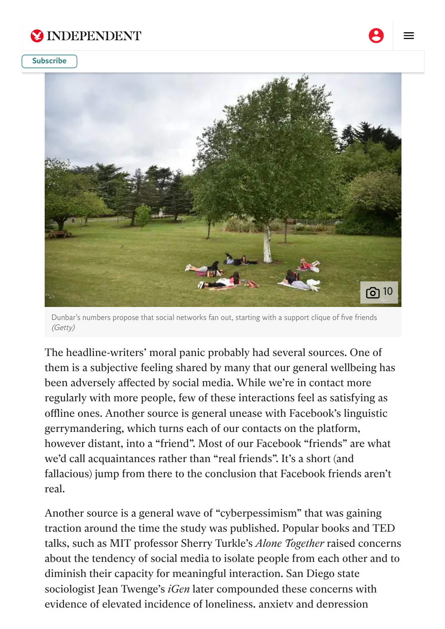

#### same five people who give a crap about you offline. **[Subscribe](https://www.independent.co.uk/subscribe?itm_channel=native&itm_campaign=top_right_subscribe)**



Dunbar's numbers propose that social networks fan out, starting with a support clique of five friends (Getty)

The headline-writers' moral panic probably had several sources. One of them is a subjective feeling shared by many that our general wellbeing has been adversely affected by social media. While we're in contact more regularly with more people, few of these interactions feel as satisfying as offline ones. Another source is general unease with Facebook's linguistic gerrymandering, which turns each of our contacts on the platform, however distant, into a "friend". Most of our Facebook "friends" are what we'd call acquaintances rather than "real friends". It's a short (and fallacious) jump from there to the conclusion that Facebook friends aren't real.

Another source is a general wave of "cyberpessimism" that was gaining traction around the time the study was published. Popular books and TED talks, such as MIT professor Sherry Turkle's *Alone Together* raised concerns about the tendency of social media to isolate people from each other and to diminish their capacity for meaningful interaction. San Diego state sociologist Jean Twenge's *iGen* later compounded these concerns with evidence of elevated incidence of loneliness, anxiety and depression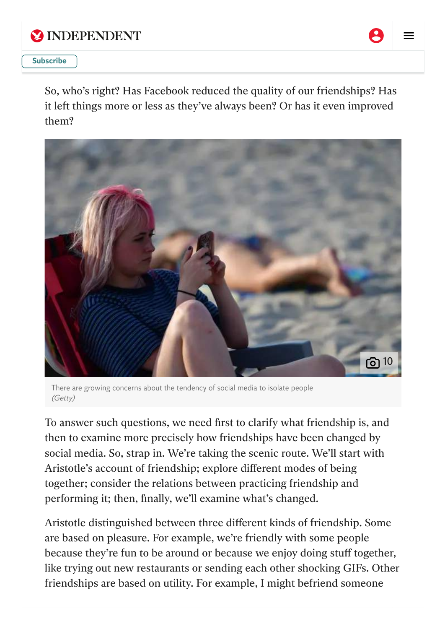



#### *Business Review*, former US surgeon-general Vivek Murthy warned of an impeding "loneliness". **[Subscribe](https://www.independent.co.uk/subscribe?itm_channel=native&itm_campaign=top_right_subscribe)**

So, who's right? Has Facebook reduced the quality of our friendships? Has it left things more or less as they've always been? Or has it even improved them?



There are growing concerns about the tendency of social media to isolate people (Getty)

To answer such questions, we need first to clarify what friendship is, and then to examine more precisely how friendships have been changed by social media. So, strap in. We're taking the scenic route. We'll start with Aristotle's account of friendship; explore different modes of being together; consider the relations between practicing friendship and performing it; then, finally, we'll examine what's changed.

Aristotle distinguished between three different kinds of friendship. Some are based on pleasure. For example, we're friendly with some people because they're fun to be around or because we enjoy doing stuff together, like trying out new restaurants or sending each other shocking GIFs. Other friendships are based on utility. For example, I might befriend someone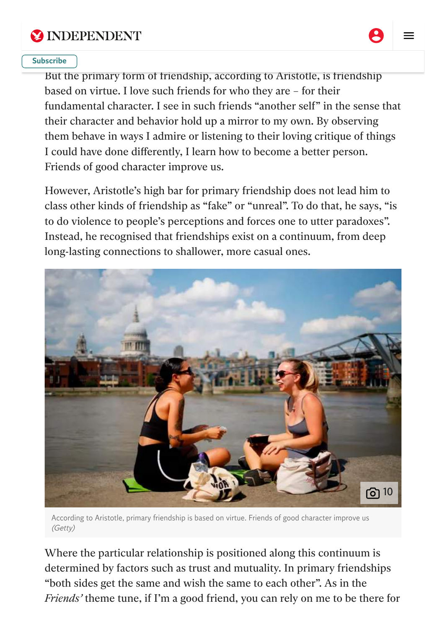



But the primary form of friendship, according to Aristotle, is friendship based on virtue. I love such friends for who they are – for their fundamental character. I see in such friends "another self" in the sense that their character and behavior hold up a mirror to my own. By observing them behave in ways I admire or listening to their loving critique of things I could have done differently, I learn how to become a better person. Friends of good character improve us.

However, Aristotle's high bar for primary friendship does not lead him to class other kinds of friendship as "fake" or "unreal". To do that, he says, "is to do violence to people's perceptions and forces one to utter paradoxes". Instead, he recognised that friendships exist on a continuum, from deep long-lasting connections to shallower, more casual ones.



According to Aristotle, primary friendship is based on virtue. Friends of good character improve us (Getty)

Where the particular relationship is positioned along this continuum is determined by factors such as trust and mutuality. In primary friendships "both sides get the same and wish the same to each other". As in the *Friends'* theme tune, if I'm a good friend, you can rely on me to be there for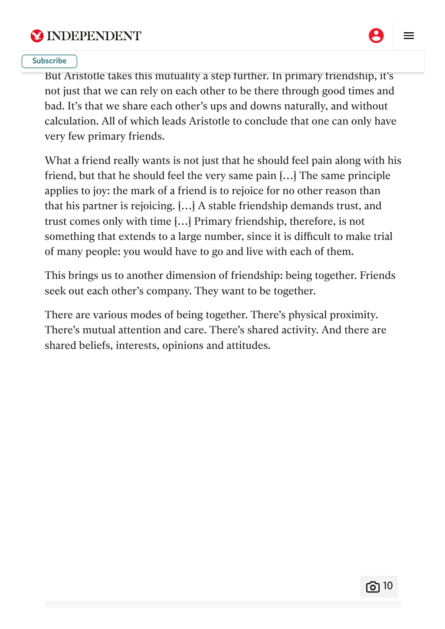



#### you're there for me too." **[Subscribe](https://www.independent.co.uk/subscribe?itm_channel=native&itm_campaign=top_right_subscribe)**

But Aristotle takes this mutuality a step further. In primary friendship, it's not just that we can rely on each other to be there through good times and bad. It's that we share each other's ups and downs naturally, and without calculation. All of which leads Aristotle to conclude that one can only have very few primary friends.

What a friend really wants is not just that he should feel pain along with his friend, but that he should feel the very same pain […] The same principle applies to joy: the mark of a friend is to rejoice for no other reason than that his partner is rejoicing. […] A stable friendship demands trust, and trust comes only with time […] Primary friendship, therefore, is not something that extends to a large number, since it is difficult to make trial of many people: you would have to go and live with each of them.

This brings us to another dimension of friendship: being together. Friends seek out each other's company. They want to be together.

There are various modes of being together. There's physical proximity. There's mutual attention and care. There's shared activity. And there are shared beliefs, interests, opinions and attitudes.

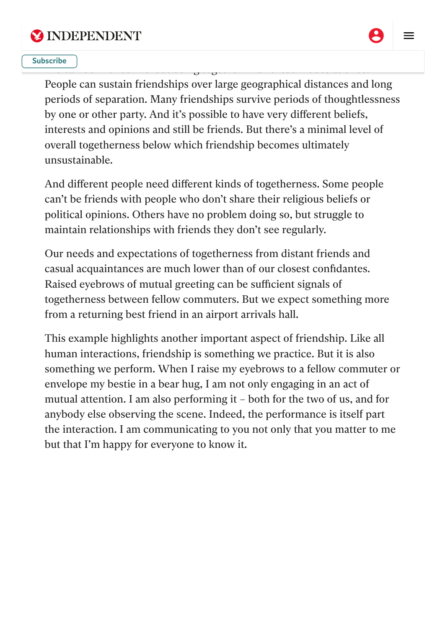



#### $\mathcal{O}$  and the friends without being together in all these modes at once. The se modes at once. **[Subscribe](https://www.independent.co.uk/subscribe?itm_channel=native&itm_campaign=top_right_subscribe)**

People can sustain friendships over large geographical distances and long periods of separation. Many friendships survive periods of thoughtlessness by one or other party. And it's possible to have very different beliefs, interests and opinions and still be friends. But there's a minimal level of overall togetherness below which friendship becomes ultimately unsustainable.

And different people need different kinds of togetherness. Some people can't be friends with people who don't share their religious beliefs or political opinions. Others have no problem doing so, but struggle to maintain relationships with friends they don't see regularly.

Our needs and expectations of togetherness from distant friends and casual acquaintances are much lower than of our closest confidantes. Raised eyebrows of mutual greeting can be sufficient signals of togetherness between fellow commuters. But we expect something more from a returning best friend in an airport arrivals hall.

This example highlights another important aspect of friendship. Like all human interactions, friendship is something we practice. But it is also something we perform. When I raise my eyebrows to a fellow commuter or envelope my bestie in a bear hug, I am not only engaging in an act of mutual attention. I am also performing it – both for the two of us, and for anybody else observing the scene. Indeed, the performance is itself part the interaction. I am communicating to you not only that you matter to me but that I'm happy for everyone to know it.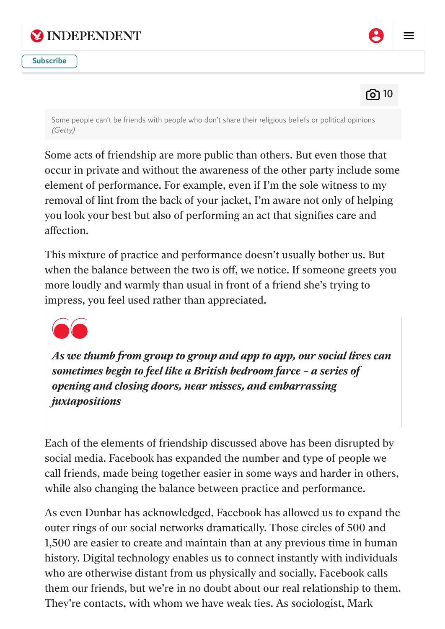





Some people can't be friends with people who don't share their religious beliefs or political opinions (Getty)

Some acts of friendship are more public than others. But even those that occur in private and without the awareness of the other party include some element of performance. For example, even if I'm the sole witness to my removal of lint from the back of your jacket, I'm aware not only of helping you look your best but also of performing an act that signifies care and affection.

This mixture of practice and performance doesn't usually bother us. But when the balance between the two is off, we notice. If someone greets you more loudly and warmly than usual in front of a friend she's trying to impress, you feel used rather than appreciated.



*As we thumb from group to group and app to app, our social lives can sometimes begin to feel like a British bedroom farce – a series of opening and closing doors, near misses, and embarrassing juxtapositions*

Each of the elements of friendship discussed above has been disrupted by social media. Facebook has expanded the number and type of people we call friends, made being together easier in some ways and harder in others, while also changing the balance between practice and performance.

As even Dunbar has acknowledged, Facebook has allowed us to expand the outer rings of our social networks dramatically. Those circles of 500 and 1,500 are easier to create and maintain than at any previous time in human history. Digital technology enables us to connect instantly with individuals who are otherwise distant from us physically and socially. Facebook calls them our friends, but we're in no doubt about our real relationship to them. They're contacts, with whom we have weak ties. As sociologist, Mark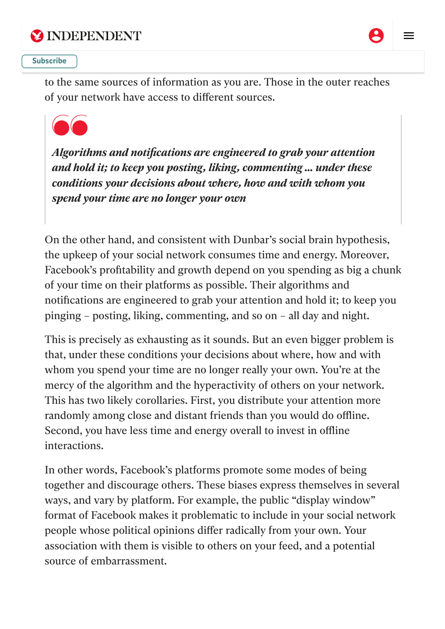



#### looking for your next job, or a recommendation for a local plumber, weak  $\left( \begin{array}{c} 1 \end{array} \right)$ **[Subscribe](https://www.independent.co.uk/subscribe?itm_channel=native&itm_campaign=top_right_subscribe)**

to the same sources of information as you are. Those in the outer reaches of your network have access to different sources.



*Algorithms and notifications are engineered to grab your attention and hold it; to keep you posting, liking, commenting ... under these conditions your decisions about where, how and with whom you spend your time are no longer your own*

On the other hand, and consistent with Dunbar's social brain hypothesis, the upkeep of your social network consumes time and energy. Moreover, Facebook's profitability and growth depend on you spending as big a chunk of your time on their platforms as possible. Their algorithms and notifications are engineered to grab your attention and hold it; to keep you pinging – posting, liking, commenting, and so on – all day and night.

This is precisely as exhausting as it sounds. But an even bigger problem is that, under these conditions your decisions about where, how and with whom you spend your time are no longer really your own. You're at the mercy of the algorithm and the hyperactivity of others on your network. This has two likely corollaries. First, you distribute your attention more randomly among close and distant friends than you would do offline. Second, you have less time and energy overall to invest in offline interactions.

In other words, Facebook's platforms promote some modes of being together and discourage others. These biases express themselves in several ways, and vary by platform. For example, the public "display window" format of Facebook makes it problematic to include in your social network people whose political opinions differ radically from your own. Your association with them is visible to others on your feed, and a potential source of embarrassment.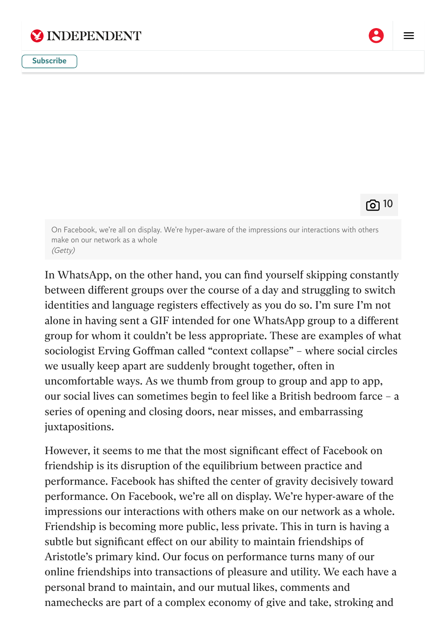



റി 10

On Facebook, we're all on display. We're hyper-aware of the impressions our interactions with others make on our network as a whole (Getty)

In WhatsApp, on the other hand, you can find yourself skipping constantly between different groups over the course of a day and struggling to switch identities and language registers effectively as you do so. I'm sure I'm not alone in having sent a GIF intended for one WhatsApp group to a different group for whom it couldn't be less appropriate. These are examples of what sociologist Erving Goffman called "context collapse" – where social circles we usually keep apart are suddenly brought together, often in uncomfortable ways. As we thumb from group to group and app to app, our social lives can sometimes begin to feel like a British bedroom farce – a series of opening and closing doors, near misses, and embarrassing juxtapositions.

However, it seems to me that the most significant effect of Facebook on friendship is its disruption of the equilibrium between practice and performance. Facebook has shifted the center of gravity decisively toward performance. On Facebook, we're all on display. We're hyper-aware of the impressions our interactions with others make on our network as a whole. Friendship is becoming more public, less private. This in turn is having a subtle but significant effect on our ability to maintain friendships of Aristotle's primary kind. Our focus on performance turns many of our online friendships into transactions of pleasure and utility. We each have a personal brand to maintain, and our mutual likes, comments and namechecks are part of a complex economy of give and take, stroking and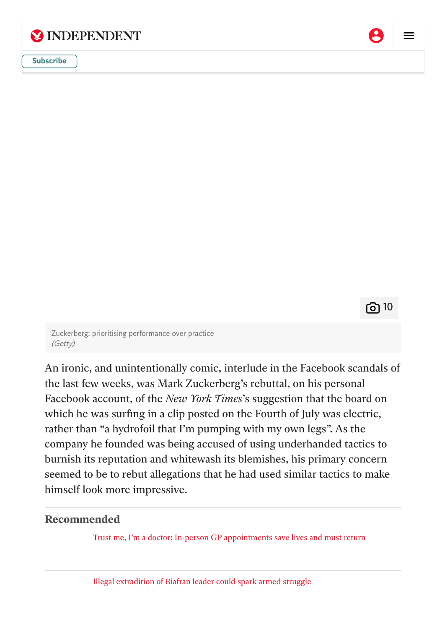

accessory than a friend on virtue, we get  $\alpha$  friendships based on virtue, we get  $\alpha$  $\frac{1}{\sqrt{2}}$ [Subscribe](https://www.independent.co.uk/subscribe?itm_channel=native&itm_campaign=top_right_subscribe)

රා 10

Zuckerberg: prioritising performance over practice (Getty)

An ironic, and unintentionally comic, interlude in the Facebook scandals of the last few weeks, was Mark Zuckerberg's rebuttal, on his personal Facebook account, of the *New York Times*'s suggestion that the board on which he was surfing in a clip posted on the Fourth of July was electric, rather than "a hydrofoil that I'm pumping with my own legs". As the company he founded was being accused of using underhanded tactics to burnish its reputation and whitewash its blemishes, his primary concern seemed to be to rebut allegations that he had used similar tactics to make himself look more impressive.

### **Recommended**

Trust me, I'm a doctor: In-person GP [appointments](https://www.independent.co.uk/independentpremium/long-reads/face-to-face-gp-appointments-nhs-b1932103.html) save lives and must return

Illegal [extradition](https://www.independent.co.uk/independentpremium/long-reads/biafra-self-determination-extradition-nigeria-b1933866.html) of Biafran leader could spark armed struggle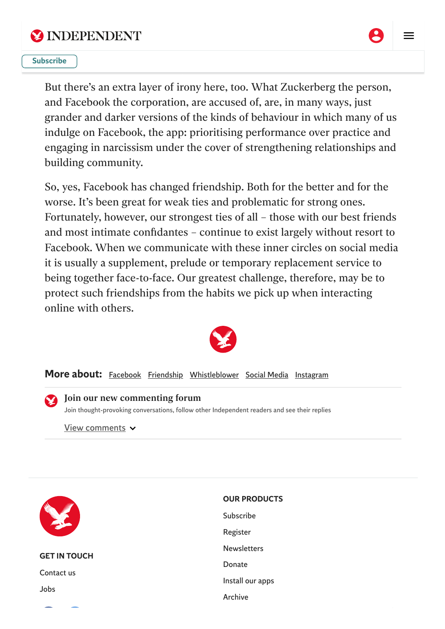



#### **[Subscribe](https://www.independent.co.uk/subscribe?itm_channel=native&itm_campaign=top_right_subscribe)**

But there's an extra layer of irony here, too. What Zuckerberg the person, and Facebook the corporation, are accused of, are, in many ways, just grander and darker versions of the kinds of behaviour in which many of us indulge on Facebook, the app: prioritising performance over practice and engaging in narcissism under the cover of strengthening relationships and building community.

So, yes, Facebook has changed friendship. Both for the better and for the worse. It's been great for weak ties and problematic for strong ones. Fortunately, however, our strongest ties of all – those with our best friends and most intimate confidantes – continue to exist largely without resort to Facebook. When we communicate with these inner circles on social media it is usually a supplement, prelude or temporary replacement service to being together face-to-face. Our greatest challenge, therefore, may be to protect such friendships from the habits we pick up when interacting online with others.



More about: [Facebook](https://www.independent.co.uk/topic/facebook) [Friendship](https://www.independent.co.uk/topic/friendship) [Whistleblower](https://www.independent.co.uk/topic/whistleblower) Social [Media](https://www.independent.co.uk/topic/social-media) [Instagram](https://www.independent.co.uk/topic/instagram)

#### <span id="page-14-0"></span>Join our new commenting forum

Join thought-provoking conversations, follow other Independent readers and see their replies

View [comments](#page-14-0) v